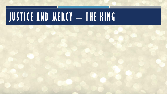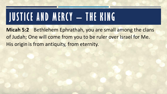**Micah 5:2** Bethlehem Ephrathah, you are small among the clans of Judah; One will come from you to be ruler over Israel for Me. His origin is from antiquity, from eternity.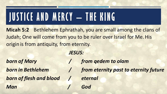**Micah 5:2** Bethlehem Ephrathah, you are small among the clans of Judah; One will come from you to be ruler over Israel for Me. His origin is from antiquity, from eternity.

#### *JESUS:*

*born of Mary / from qedem to olam born of flesh and blood / eternal Man / God*

*born in Bethlehem / from eternity past to eternity future*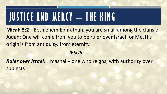**Micah 5:2** Bethlehem Ephrathah, you are small among the clans of Judah; One will come from you to be ruler over Israel for Me. His origin is from antiquity, from eternity.

#### *JESUS:*

*Ruler over Israel:* mashal – one who reigns, with authority over subjects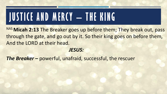NAS Micah 2:13 The Breaker goes up before them; They break out, pass through the gate, and go out by it. So their king goes on before them, And the LORD at their head.

#### *JESUS:*

**The Breaker -** powerful, unafraid, successful, the rescuer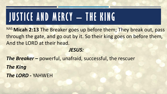NAS Micah 2:13 The Breaker goes up before them; They break out, pass through the gate, and go out by it. So their king goes on before them, And the LORD at their head.

#### *JESUS:*

*The Breaker –* powerful, unafraid, successful, the rescuer *The King The LORD -* YAHWEH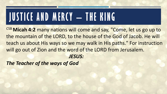CSB **Micah 4:2** many nations will come and say, "Come, let us go up to the mountain of the LORD, to the house of the God of Jacob. He will teach us about His ways so we may walk in His paths." For instruction will go out of Zion and the word of the LORD from Jerusalem. *JESUS:*

*The Teacher of the ways of God*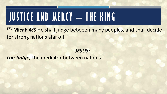ESV **Micah 4:3** He shall judge between many peoples, and shall decide for strong nations afar off

#### *JESUS:*

*The Judge,* the mediator between nations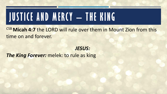CSB Micah 4:7 the LORD will rule over them in Mount Zion from this time on and forever.

#### *JESUS: The King Forever: melek: to rule as king*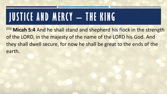ESV **Micah 5:4** And he shall stand and shepherd his flock in the strength of the LORD, in the majesty of the name of the LORD his God. And they shall dwell secure, for now he shall be great to the ends of the earth.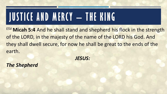ESV **Micah 5:4** And he shall stand and shepherd his flock in the strength of the LORD, in the majesty of the name of the LORD his God. And they shall dwell secure, for now he shall be great to the ends of the earth.

*JESUS:*

*The Shepherd*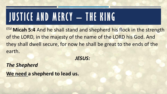ESV **Micah 5:4** And he shall stand and shepherd his flock in the strength of the LORD, in the majesty of the name of the LORD his God. And they shall dwell secure, for now he shall be great to the ends of the earth.

*JESUS:*

*The Shepherd* **We need a shepherd to lead us.**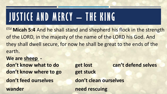ESV **Micah 5:4** And he shall stand and shepherd his flock in the strength of the LORD, in the majesty of the name of the LORD his God. And they shall dwell secure, for now he shall be great to the ends of the earth.

**We are sheep don't know where to go get stuck don't feed ourselves don't clean ourselves wander need rescuing**

**don't know what to do get lost can't defend selves**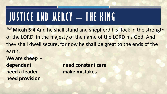ESV **Micah 5:4** And he shall stand and shepherd his flock in the strength of the LORD, in the majesty of the name of the LORD his God. And they shall dwell secure, for now he shall be great to the ends of the earth.

**We are sheep need a leader make mistakes need provision**

**dependent** need constant care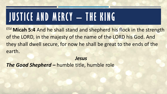ESV **Micah 5:4** And he shall stand and shepherd his flock in the strength of the LORD, in the majesty of the name of the LORD his God. And they shall dwell secure, for now he shall be great to the ends of the earth.

*Jesus*

*The Good Shepherd –* humble title, humble role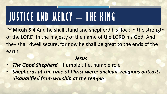ESV **Micah 5:4** And he shall stand and shepherd his flock in the strength of the LORD, in the majesty of the name of the LORD his God. And they shall dwell secure, for now he shall be great to the ends of the earth.

#### *Jesus*

- *The Good Shepherd –* humble title, humble role
- *Shepherds at the time of Christ were: unclean, religious outcasts, disqualified from worship at the temple*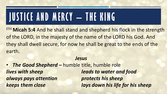ESV **Micah 5:4** And he shall stand and shepherd his flock in the strength of the LORD, in the majesty of the name of the LORD his God. And they shall dwell secure, for now he shall be great to the ends of the earth.

#### *Jesus*

• *The Good Shepherd –* humble title, humble role *lives with sheep leads to water and food always pays attention protects his sheep keeps them close lays down his life for his sheep*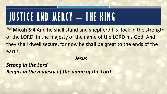ESV **Micah 5:4** And he shall stand and shepherd his flock in the strength of the LORD, in the majesty of the name of the LORD his God. And they shall dwell secure, for now he shall be great to the ends of the earth.

*Jesus*

*Strong in the Lord Reigns in the majesty of the name of the Lord*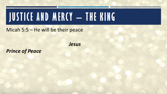Micah 5:5 – He will be their peace

*Jesus*

*Prince of Peace*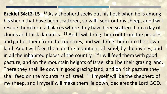**Ezekiel 34:12-15** <sup>12</sup> As a shepherd seeks out his flock when he is among his sheep that have been scattered, so will I seek out my sheep, and I will rescue them from all places where they have been scattered on a day of clouds and thick darkness. <sup>13</sup> And I will bring them out from the peoples and gather them from the countries, and will bring them into their own land. And I will feed them on the mountains of Israel, by the ravines, and in all the inhabited places of the country.  $14$  I will feed them with good pasture, and on the mountain heights of Israel shall be their grazing land. There they shall lie down in good grazing land, and on rich pasture they shall feed on the mountains of Israel. <sup>15</sup> I myself will be the shepherd of my sheep, and I myself will make them lie down, declares the Lord GOD.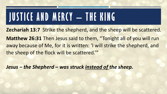**Zechariah 13:7** Strike the shepherd, and the sheep will be scattered. **Matthew 26:31** Then Jesus said to them, "Tonight all of you will run away because of Me, for it is written: 'I will strike the shepherd, and the sheep of the flock will be scattered.'"

*Jesus – the Shepherd – was struck instead of the sheep.*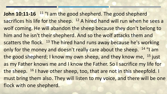**John 10:11-16** <sup>11</sup> "I am the good shepherd. The good shepherd sacrifices his life for the sheep. <sup>12</sup> A hired hand will run when he sees a wolf coming. He will abandon the sheep because they don't belong to him and he isn't their shepherd. And so the wolf attacks them and scatters the flock. <sup>13</sup> The hired hand runs away because he's working only for the money and doesn't really care about the sheep. <sup>14</sup> "I am the good shepherd; I know my own sheep, and they know me, <sup>15</sup> just as my Father knows me and I know the Father. So I sacrifice my life for the sheep. <sup>16</sup> I have other sheep, too, that are not in this sheepfold. I must bring them also. They will listen to my voice, and there will be one flock with one shepherd.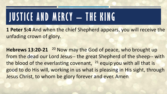**1 Peter 5:4** And when the chief Shepherd appears, you will receive the unfading crown of glory.

**Hebrews 13:20-21** <sup>20</sup> Now may the God of peace, who brought up from the dead our Lord Jesus-- the great Shepherd of the sheep-- with the blood of the everlasting covenant,  $21$  equip you with all that is good to do His will, working in us what is pleasing in His sight, through Jesus Christ, to whom be glory forever and ever. Amen.